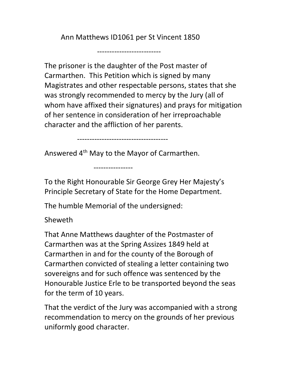Ann Matthews ID1061 per St Vincent 1850

--------------------------

The prisoner is the daughter of the Post master of Carmarthen. This Petition which is signed by many Magistrates and other respectable persons, states that she was strongly recommended to mercy by the Jury (all of whom have affixed their signatures) and prays for mitigation of her sentence in consideration of her irreproachable character and the affliction of her parents.

-------------------------------------

Answered 4th May to the Mayor of Carmarthen.

To the Right Honourable Sir George Grey Her Majesty's Principle Secretary of State for the Home Department.

The humble Memorial of the undersigned:

----------------

Sheweth

That Anne Matthews daughter of the Postmaster of Carmarthen was at the Spring Assizes 1849 held at Carmarthen in and for the county of the Borough of Carmarthen convicted of stealing a letter containing two sovereigns and for such offence was sentenced by the Honourable Justice Erle to be transported beyond the seas for the term of 10 years.

That the verdict of the Jury was accompanied with a strong recommendation to mercy on the grounds of her previous uniformly good character.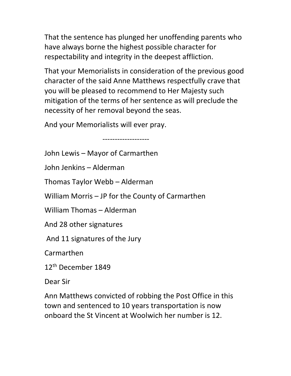That the sentence has plunged her unoffending parents who have always borne the highest possible character for respectability and integrity in the deepest affliction.

That your Memorialists in consideration of the previous good character of the said Anne Matthews respectfully crave that you will be pleased to recommend to Her Majesty such mitigation of the terms of her sentence as will preclude the necessity of her removal beyond the seas.

And your Memorialists will ever pray.

-------------------

John Lewis – Mayor of Carmarthen

John Jenkins – Alderman

Thomas Taylor Webb – Alderman

William Morris – JP for the County of Carmarthen

William Thomas – Alderman

And 28 other signatures

And 11 signatures of the Jury

Carmarthen

12th December 1849

Dear Sir

Ann Matthews convicted of robbing the Post Office in this town and sentenced to 10 years transportation is now onboard the St Vincent at Woolwich her number is 12.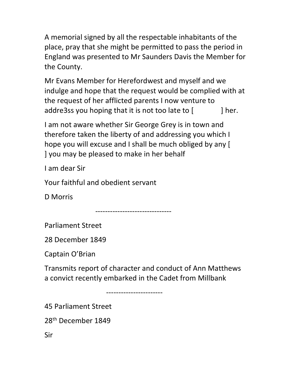A memorial signed by all the respectable inhabitants of the place, pray that she might be permitted to pass the period in England was presented to Mr Saunders Davis the Member for the County.

Mr Evans Member for Herefordwest and myself and we indulge and hope that the request would be complied with at the request of her afflicted parents I now venture to addre3ss you hoping that it is not too late to  $\lceil$  | her.

I am not aware whether Sir George Grey is in town and therefore taken the liberty of and addressing you which I hope you will excuse and I shall be much obliged by any [ ] you may be pleased to make in her behalf

I am dear Sir

Your faithful and obedient servant

D Morris

-------------------------------

Parliament Street

28 December 1849

Captain O'Brian

Transmits report of character and conduct of Ann Matthews a convict recently embarked in the Cadet from Millbank

-----------------------

45 Parliament Street

28th December 1849

Sir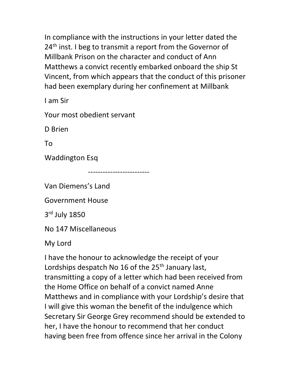In compliance with the instructions in your letter dated the 24<sup>th</sup> inst. I beg to transmit a report from the Governor of Millbank Prison on the character and conduct of Ann Matthews a convict recently embarked onboard the ship St Vincent, from which appears that the conduct of this prisoner had been exemplary during her confinement at Millbank

I am Sir

Your most obedient servant

D Brien

To

Waddington Esq

-------------------------

Van Diemens's Land

Government House

3 rd July 1850

No 147 Miscellaneous

My Lord

I have the honour to acknowledge the receipt of your Lordships despatch No 16 of the 25<sup>th</sup> January last, transmitting a copy of a letter which had been received from the Home Office on behalf of a convict named Anne Matthews and in compliance with your Lordship's desire that I will give this woman the benefit of the indulgence which Secretary Sir George Grey recommend should be extended to her, I have the honour to recommend that her conduct having been free from offence since her arrival in the Colony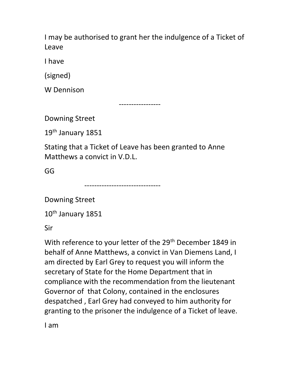I may be authorised to grant her the indulgence of a Ticket of Leave

I have

(signed)

W Dennison

-----------------

Downing Street

19<sup>th</sup> January 1851

Stating that a Ticket of Leave has been granted to Anne Matthews a convict in V.D.L.

GG

-------------------------------

Downing Street

10<sup>th</sup> January 1851

Sir

With reference to your letter of the 29<sup>th</sup> December 1849 in behalf of Anne Matthews, a convict in Van Diemens Land, I am directed by Earl Grey to request you will inform the secretary of State for the Home Department that in compliance with the recommendation from the lieutenant Governor of that Colony, contained in the enclosures despatched , Earl Grey had conveyed to him authority for granting to the prisoner the indulgence of a Ticket of leave.

I am